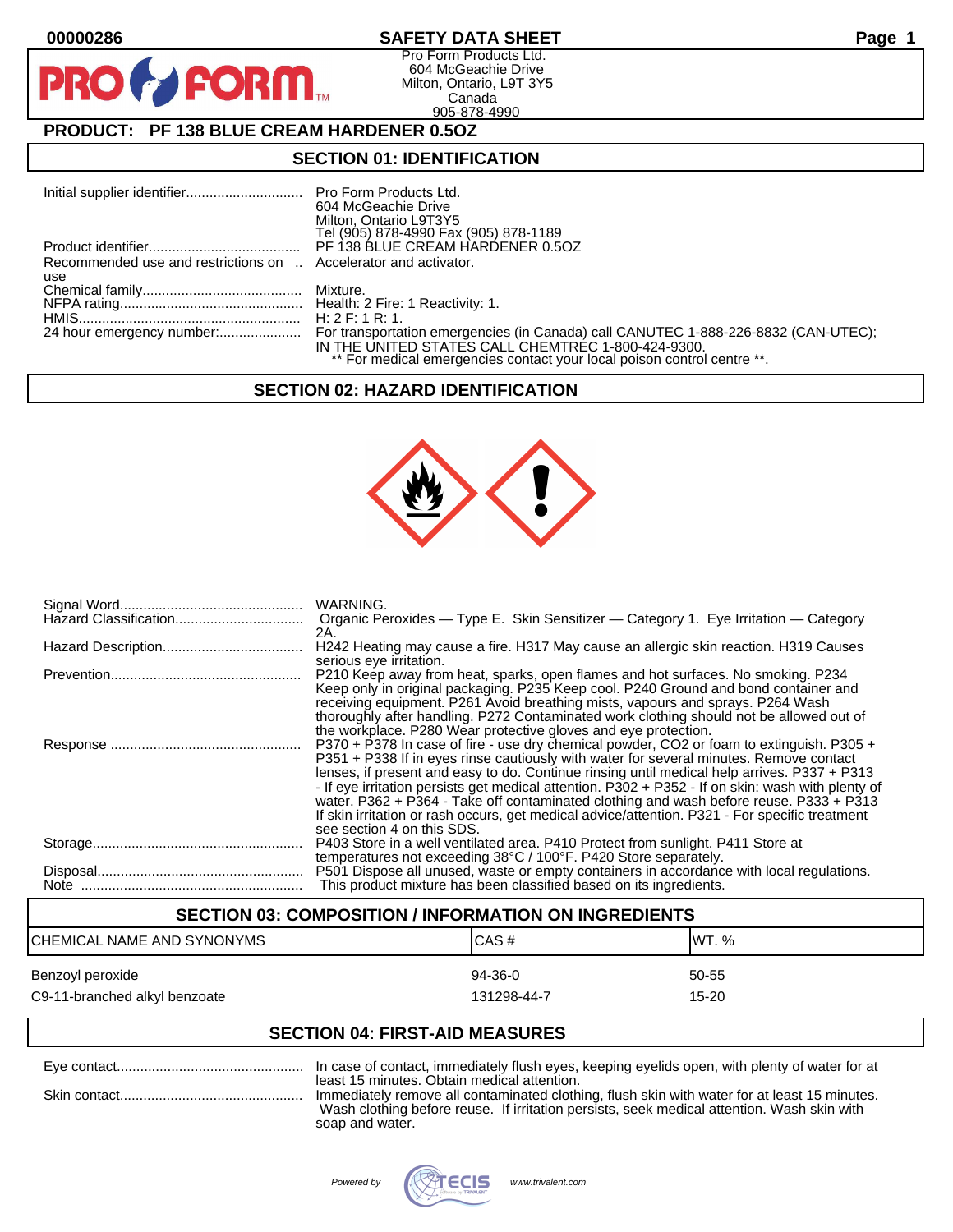**PIR** 

# **00000286 SAFETY DATA SHEET Page 1**

Pro Form Products Ltd. 604 McGeachie Drive Milton, Ontario, L9T 3Y5 Canada 905-878-4990

# **PRODUCT: PF 138 BLUE CREAM HARDENER 0.5OZ**

**FORM.** 

## **SECTION 01: IDENTIFICATION**

|                                                                        | 604 McGeachie Drive<br>Milton, Ontario L9T3Y5<br>Tel (905) 878-4990 Fax (905) 878-1189                                        |
|------------------------------------------------------------------------|-------------------------------------------------------------------------------------------------------------------------------|
|                                                                        |                                                                                                                               |
| Recommended use and restrictions on  Accelerator and activator.<br>use |                                                                                                                               |
|                                                                        |                                                                                                                               |
|                                                                        |                                                                                                                               |
|                                                                        |                                                                                                                               |
|                                                                        | IN THE UNITED STATES CALL CHEMTREC 1-800-424-9300.<br>** For medical emergencies contact your local poison control centre **. |

## **SECTION 02: HAZARD IDENTIFICATION**



| WARNING.<br>Organic Peroxides — Type E. Skin Sensitizer — Category 1. Eye Irritation — Category<br>2A.                                                                                                                                                                                                                                                                                                                                                                                                                                                                                                           |
|------------------------------------------------------------------------------------------------------------------------------------------------------------------------------------------------------------------------------------------------------------------------------------------------------------------------------------------------------------------------------------------------------------------------------------------------------------------------------------------------------------------------------------------------------------------------------------------------------------------|
| H242 Heating may cause a fire. H317 May cause an allergic skin reaction. H319 Causes<br>serious eye irritation.                                                                                                                                                                                                                                                                                                                                                                                                                                                                                                  |
| P210 Keep away from heat, sparks, open flames and hot surfaces. No smoking. P234<br>Keep only in original packaging. P235 Keep cool. P240 Ground and bond container and<br>receiving equipment. P261 Avoid breathing mists, vapours and sprays. P264 Wash<br>thoroughly after handling. P272 Contaminated work clothing should not be allowed out of<br>the workplace. P280 Wear protective gloves and eye protection.                                                                                                                                                                                           |
| P370 + P378 In case of fire - use dry chemical powder, CO2 or foam to extinguish. P305 +<br>P351 + P338 If in eyes rinse cautiously with water for several minutes. Remove contact<br>lenses, if present and easy to do. Continue rinsing until medical help arrives. P337 + P313<br>- If eye irritation persists get medical attention. P302 + P352 - If on skin: wash with plenty of<br>water. P362 + P364 - Take off contaminated clothing and wash before reuse. P333 + P313<br>If skin irritation or rash occurs, get medical advice/attention. P321 - For specific treatment<br>see section 4 on this SDS. |
| P403 Store in a well ventilated area. P410 Protect from sunlight. P411 Store at<br>temperatures not exceeding 38°C / 100°F. P420 Store separately.                                                                                                                                                                                                                                                                                                                                                                                                                                                               |
| P501 Dispose all unused, waste or empty containers in accordance with local regulations.<br>This product mixture has been classified based on its ingredients.                                                                                                                                                                                                                                                                                                                                                                                                                                                   |

# **SECTION 03: COMPOSITION / INFORMATION ON INGREDIENTS** CHEMICAL NAME AND SYNONYMS CHEMICAL NAME AND SYNONYMS Benzoyl peroxide 60-55 states and the state of the 94-36-0 states of the 50-55 states of the  $\frac{94-36-0}{2}$ C9-11-branched alkyl benzoate 15-20 and the 131298-44-7 control in the 15-20

# **SECTION 04: FIRST-AID MEASURES**

| In case of contact, immediately flush eyes, keeping eyelids open, with plenty of water for at                                                                                                                                             |
|-------------------------------------------------------------------------------------------------------------------------------------------------------------------------------------------------------------------------------------------|
| least 15 minutes. Obtain medical attention.<br>Immediately remove all contaminated clothing, flush skin with water for at least 15 minutes.<br>Wash clothing before reuse. If irritation persists, seek medical attention. Wash skin with |
| soap and water.                                                                                                                                                                                                                           |

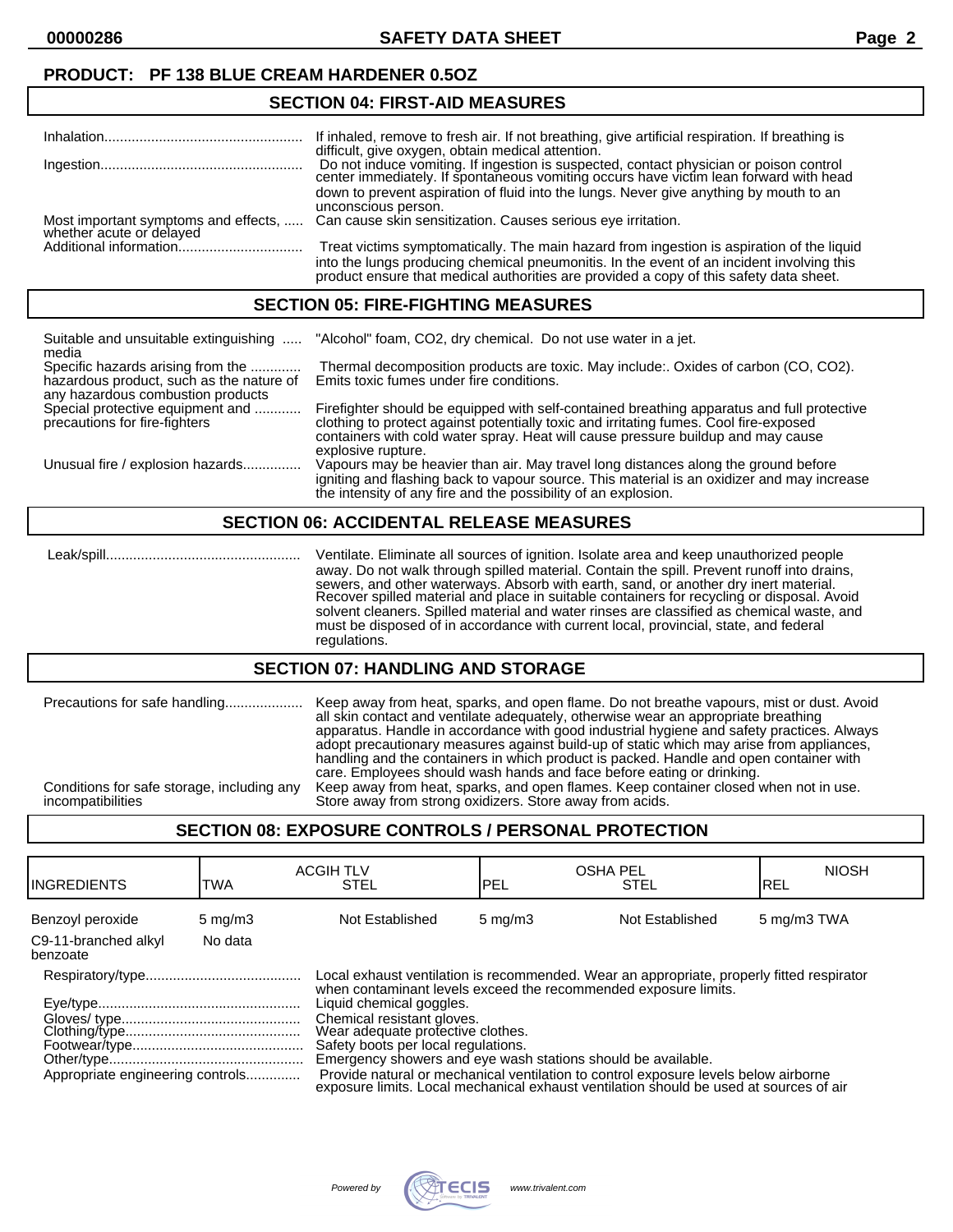**00000286 SAFETY DATA SHEET Page 2**

## **PRODUCT: PF 138 BLUE CREAM HARDENER 0.5OZ**

## **SECTION 04: FIRST-AID MEASURES**

|                                                                  | If inhaled, remove to fresh air. If not breathing, give artificial respiration. If breathing is |
|------------------------------------------------------------------|-------------------------------------------------------------------------------------------------|
|                                                                  | difficult, give oxygen, obtain medical attention.                                               |
|                                                                  |                                                                                                 |
|                                                                  | Do not induce vomiting. If ingestion is suspected, contact physician or poison control          |
|                                                                  | center immediately. If spontaneous vomiting occurs have victim lean forward with head           |
|                                                                  | down to prevent aspiration of fluid into the lungs. Never give anything by mouth to an          |
|                                                                  |                                                                                                 |
|                                                                  | unconscious person.                                                                             |
|                                                                  | Can cause skin sensitization. Causes serious eye irritation.                                    |
| Most important symptoms and effects,<br>whether acute or delayed |                                                                                                 |
|                                                                  | Treat victims symptomatically. The main hazard from ingestion is aspiration of the liquid       |
|                                                                  |                                                                                                 |
|                                                                  | into the lungs producing chemical pneumonitis. In the event of an incident involving this       |
|                                                                  | product ensure that medical authorities are provided a copy of this safety data sheet.          |
|                                                                  |                                                                                                 |

#### **SECTION 05: FIRE-FIGHTING MEASURES**

| Suitable and unsuitable extinguishing<br>media                                                                     | "Alcohol" foam, CO2, dry chemical. Do not use water in a jet.                                                                                                                                                                                                                                 |
|--------------------------------------------------------------------------------------------------------------------|-----------------------------------------------------------------------------------------------------------------------------------------------------------------------------------------------------------------------------------------------------------------------------------------------|
| Specific hazards arising from the<br>hazardous product, such as the nature of<br>any hazardous combustion products | Thermal decomposition products are toxic. May include:. Oxides of carbon (CO, CO2).<br>Emits toxic fumes under fire conditions.                                                                                                                                                               |
| Special protective equipment and<br>precautions for fire-fighters                                                  | Firefighter should be equipped with self-contained breathing apparatus and full protective<br>clothing to protect against potentially toxic and irritating fumes. Cool fire-exposed<br>containers with cold water spray. Heat will cause pressure buildup and may cause<br>explosive rupture. |
| Unusual fire / explosion hazards                                                                                   | Vapours may be heavier than air. May travel long distances along the ground before<br>igniting and flashing back to vapour source. This material is an oxidizer and may increase<br>the intensity of any fire and the possibility of an explosion.                                            |

#### **SECTION 06: ACCIDENTAL RELEASE MEASURES**

 Leak/spill.................................................. Ventilate. Eliminate all sources of ignition. Isolate area and keep unauthorized people away. Do not walk through spilled material. Contain the spill. Prevent runoff into drains, sewers, and other waterways. Absorb with earth, sand, or another dry inert material. Recover spilled material and place in suitable containers for recycling or disposal. Avoid solvent cleaners. Spilled material and water rinses are classified as chemical waste, and must be disposed of in accordance with current local, provincial, state, and federal regulations.

#### **SECTION 07: HANDLING AND STORAGE**

| Precautions for safe handling              | Keep away from heat, sparks, and open flame. Do not breathe vapours, mist or dust. Avoid<br>all skin contact and ventilate adequately, otherwise wear an appropriate breathing<br>apparatus. Handle in accordance with good industrial hygiene and safety practices. Always<br>adopt precautionary measures against build-up of static which may arise from appliances,<br>handling and the containers in which product is packed. Handle and open container with<br>care. Employees should wash hands and face before eating or drinking. |
|--------------------------------------------|--------------------------------------------------------------------------------------------------------------------------------------------------------------------------------------------------------------------------------------------------------------------------------------------------------------------------------------------------------------------------------------------------------------------------------------------------------------------------------------------------------------------------------------------|
| Conditions for safe storage, including any | Keep away from heat, sparks, and open flames. Keep container closed when not in use.                                                                                                                                                                                                                                                                                                                                                                                                                                                       |
| incompatibilities                          | Store away from strong oxidizers. Store away from acids.                                                                                                                                                                                                                                                                                                                                                                                                                                                                                   |

## **SECTION 08: EXPOSURE CONTROLS / PERSONAL PROTECTION**

| <b>I</b> INGREDIENTS             | TWA              | <b>ACGIH TLV</b><br><b>STEL</b>                                                                                                                                                                                                                                                                                                                                                                                                                                                                                                                     | <b>OSHA PEL</b><br><b>IPEL</b> | <b>STEL</b>     | <b>NIOSH</b><br>IREL |
|----------------------------------|------------------|-----------------------------------------------------------------------------------------------------------------------------------------------------------------------------------------------------------------------------------------------------------------------------------------------------------------------------------------------------------------------------------------------------------------------------------------------------------------------------------------------------------------------------------------------------|--------------------------------|-----------------|----------------------|
| Benzoyl peroxide                 | $5 \text{ mg/m}$ | Not Established                                                                                                                                                                                                                                                                                                                                                                                                                                                                                                                                     | $5 \text{ mg/m}$               | Not Established | 5 mg/m3 TWA          |
| C9-11-branched alkyl<br>benzoate | No data          |                                                                                                                                                                                                                                                                                                                                                                                                                                                                                                                                                     |                                |                 |                      |
| Appropriate engineering controls |                  | Local exhaust ventilation is recommended. Wear an appropriate, properly fitted respirator<br>when contaminant levels exceed the recommended exposure limits.<br>Liquid chemical goggles.<br>Chemical resistant gloves.<br>Wear adequate profective clothes.<br>Safety boots per local regulations.<br>Emergency showers and eye wash stations should be available.<br>Provide natural or mechanical ventilation to control exposure levels below airborne<br>exposure limits. Local mechanical exhaust ventilation should be used at sources of air |                                |                 |                      |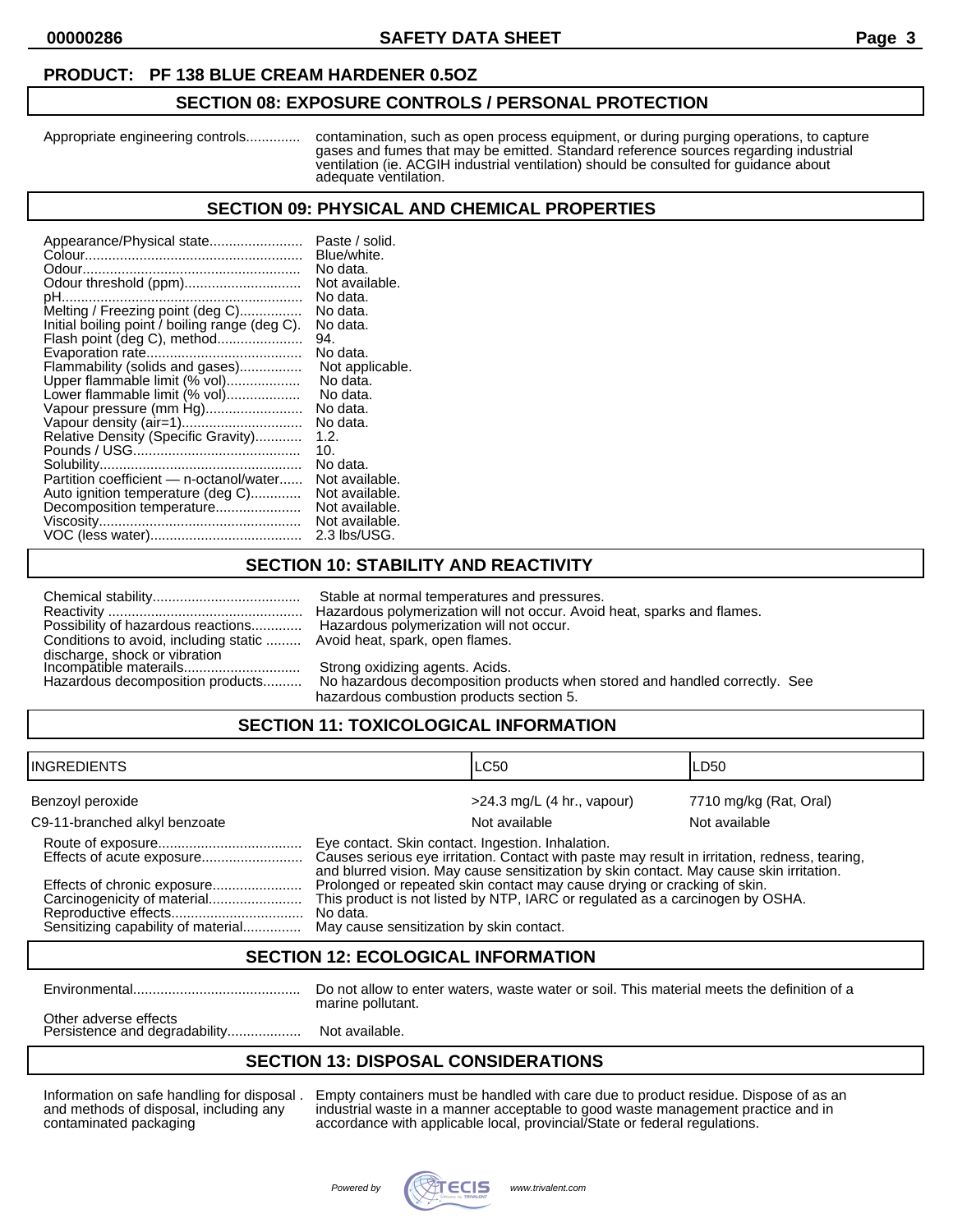#### **PRODUCT: PF 138 BLUE CREAM HARDENER 0.5OZ**

#### **SECTION 08: EXPOSURE CONTROLS / PERSONAL PROTECTION**

Appropriate engineering controls.............. contamination, such as open process equipment, or during purging operations, to capture gases and fumes that may be emitted. Standard reference sources regarding industrial ventilation (ie. ACGIH industrial ventilation) should be consulted for guidance about adequate ventilation.

#### **SECTION 09: PHYSICAL AND CHEMICAL PROPERTIES**

| Appearance/Physical state<br>Odour threshold (ppm)<br>pH<br>Melting / Freezing point (deg C)<br>Initial boiling point / boiling range (deg C).<br>Flash point (deg C), method<br>Flammability (solids and gases)<br>Upper flammable limit (% vol)<br>Lower flammable limit (% vol)<br>Vapour pressure (mm Hg)<br>Relative Density (Specific Gravity)<br>Partition coefficient - n-octanol/water<br>Auto ignition temperature (deg C)<br>Decomposition temperature | Paste / solid.<br>Blue/white.<br>No data.<br>Not available.<br>No data.<br>No data.<br>No data.<br>94.<br>No data.<br>Not applicable.<br>No data.<br>No data.<br>No data.<br>No data.<br>1.2.<br>10.<br>No data.<br>Not available.<br>Not available.<br>Not available.<br>Not available. |
|-------------------------------------------------------------------------------------------------------------------------------------------------------------------------------------------------------------------------------------------------------------------------------------------------------------------------------------------------------------------------------------------------------------------------------------------------------------------|------------------------------------------------------------------------------------------------------------------------------------------------------------------------------------------------------------------------------------------------------------------------------------------|
|                                                                                                                                                                                                                                                                                                                                                                                                                                                                   | 2.3 lbs/USG.                                                                                                                                                                                                                                                                             |

# **SECTION 10: STABILITY AND REACTIVITY**

| Possibility of hazardous reactions                      |
|---------------------------------------------------------|
| Conditions to avoid, including static                   |
| discharge, shock or vibration<br>Incompatible materails |
|                                                         |
| the consideration of a second contribution and changes. |

Stable at normal temperatures and pressures. Reactivity .................................................. Hazardous polymerization will not occur. Avoid heat, sparks and flames. Hazardous polymerization will not occur. Avoid heat, spark, open flames.

Strong oxidizing agents. Acids.

Hazardous decomposition products.......... No hazardous decomposition products when stored and handled correctly. See hazardous combustion products section 5.

# **SECTION 11: TOXICOLOGICAL INFORMATION**

| IINGREDIENTS                                                      |                                                                                                                                                                                                                                               | ILC50                        | LD50                   |
|-------------------------------------------------------------------|-----------------------------------------------------------------------------------------------------------------------------------------------------------------------------------------------------------------------------------------------|------------------------------|------------------------|
| Benzoyl peroxide                                                  |                                                                                                                                                                                                                                               | $>24.3$ mg/L (4 hr., vapour) | 7710 mg/kg (Rat, Oral) |
| C9-11-branched alkyl benzoate                                     |                                                                                                                                                                                                                                               | Not available                | Not available          |
| Effects of acute exposure                                         | Eye contact. Skin contact. Ingestion. Inhalation.<br>Causes serious eye irritation. Contact with paste may result in irritation, redness, tearing,<br>and blurred vision. May cause sensitization by skin contact. May cause skin irritation. |                              |                        |
| Effects of chronic exposure<br>Sensitizing capability of material | Prolonged or repeated skin contact may cause drying or cracking of skin.<br>This product is not listed by NTP, IARC or regulated as a carcinogen by OSHA.<br>No data.<br>May cause sensitization by skin contact.                             |                              |                        |

#### **SECTION 12: ECOLOGICAL INFORMATION**

Environmental........................................... Do not allow to enter waters, waste water or soil. This material meets the definition of a marine pollutant.

Other adverse effects Persistence and degradability......................... Not available.

## **SECTION 13: DISPOSAL CONSIDERATIONS**

Information on safe handling for disposal . Empty containers must be handled with care due to product residue. Dispose of as an and methods of disposal, including any industrial waste in a manner acceptable to good waste management practice and in contaminated packaging accordance with applicable local, provincial/State or federal regulations.